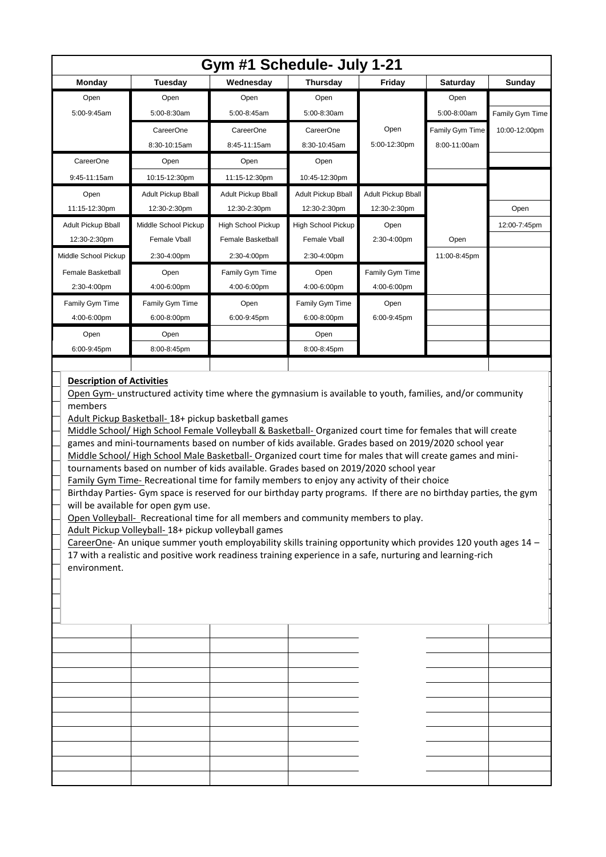| Gym #1 Schedule- July 1-21                                                                                                                                                                                                                                                                                                                                                                                                                                                                                                                                                                                                                                                                                                                                                                                                                                                                                                                                                                                                                                                                                                                        |                           |                    |                           |                    |                 |                 |  |  |  |  |
|---------------------------------------------------------------------------------------------------------------------------------------------------------------------------------------------------------------------------------------------------------------------------------------------------------------------------------------------------------------------------------------------------------------------------------------------------------------------------------------------------------------------------------------------------------------------------------------------------------------------------------------------------------------------------------------------------------------------------------------------------------------------------------------------------------------------------------------------------------------------------------------------------------------------------------------------------------------------------------------------------------------------------------------------------------------------------------------------------------------------------------------------------|---------------------------|--------------------|---------------------------|--------------------|-----------------|-----------------|--|--|--|--|
| <b>Monday</b>                                                                                                                                                                                                                                                                                                                                                                                                                                                                                                                                                                                                                                                                                                                                                                                                                                                                                                                                                                                                                                                                                                                                     | <b>Tuesday</b>            | Wednesday          | <b>Thursday</b>           | Friday             | Saturday        | Sunday          |  |  |  |  |
| Open                                                                                                                                                                                                                                                                                                                                                                                                                                                                                                                                                                                                                                                                                                                                                                                                                                                                                                                                                                                                                                                                                                                                              | Open                      | Open               | Open                      |                    | Open            |                 |  |  |  |  |
| 5:00-9:45am                                                                                                                                                                                                                                                                                                                                                                                                                                                                                                                                                                                                                                                                                                                                                                                                                                                                                                                                                                                                                                                                                                                                       | 5:00-8:30am               | 5:00-8:45am        | 5:00-8:30am               |                    | 5:00-8:00am     | Family Gym Time |  |  |  |  |
|                                                                                                                                                                                                                                                                                                                                                                                                                                                                                                                                                                                                                                                                                                                                                                                                                                                                                                                                                                                                                                                                                                                                                   | CareerOne                 | CareerOne          | CareerOne                 | Open               | Family Gym Time | 10:00-12:00pm   |  |  |  |  |
|                                                                                                                                                                                                                                                                                                                                                                                                                                                                                                                                                                                                                                                                                                                                                                                                                                                                                                                                                                                                                                                                                                                                                   | 8:30-10:15am              | 8:45-11:15am       | 8:30-10:45am              | 5:00-12:30pm       | 8:00-11:00am    |                 |  |  |  |  |
| CareerOne                                                                                                                                                                                                                                                                                                                                                                                                                                                                                                                                                                                                                                                                                                                                                                                                                                                                                                                                                                                                                                                                                                                                         | Open                      | Open               | Open                      |                    |                 |                 |  |  |  |  |
| 9:45-11:15am                                                                                                                                                                                                                                                                                                                                                                                                                                                                                                                                                                                                                                                                                                                                                                                                                                                                                                                                                                                                                                                                                                                                      | 10:15-12:30pm             | 11:15-12:30pm      | 10:45-12:30pm             |                    |                 |                 |  |  |  |  |
| Open                                                                                                                                                                                                                                                                                                                                                                                                                                                                                                                                                                                                                                                                                                                                                                                                                                                                                                                                                                                                                                                                                                                                              | <b>Adult Pickup Bball</b> | Adult Pickup Bball | <b>Adult Pickup Bball</b> | Adult Pickup Bball |                 |                 |  |  |  |  |
| 11:15-12:30pm                                                                                                                                                                                                                                                                                                                                                                                                                                                                                                                                                                                                                                                                                                                                                                                                                                                                                                                                                                                                                                                                                                                                     | 12:30-2:30pm              | 12:30-2:30pm       | 12:30-2:30pm              | 12:30-2:30pm       |                 | Open            |  |  |  |  |
| Adult Pickup Bball                                                                                                                                                                                                                                                                                                                                                                                                                                                                                                                                                                                                                                                                                                                                                                                                                                                                                                                                                                                                                                                                                                                                | Middle School Pickup      | High School Pickup | High School Pickup        | Open               |                 | 12:00-7:45pm    |  |  |  |  |
| 12:30-2:30pm                                                                                                                                                                                                                                                                                                                                                                                                                                                                                                                                                                                                                                                                                                                                                                                                                                                                                                                                                                                                                                                                                                                                      | Female Vball              | Female Basketball  | Female Vball              | 2:30-4:00pm        | Open            |                 |  |  |  |  |
| Middle School Pickup                                                                                                                                                                                                                                                                                                                                                                                                                                                                                                                                                                                                                                                                                                                                                                                                                                                                                                                                                                                                                                                                                                                              | 2:30-4:00pm               | 2:30-4:00pm        | 2:30-4:00pm               |                    | 11:00-8:45pm    |                 |  |  |  |  |
| Female Basketball                                                                                                                                                                                                                                                                                                                                                                                                                                                                                                                                                                                                                                                                                                                                                                                                                                                                                                                                                                                                                                                                                                                                 | Open                      | Family Gym Time    | Open                      | Family Gym Time    |                 |                 |  |  |  |  |
| 2:30-4:00pm                                                                                                                                                                                                                                                                                                                                                                                                                                                                                                                                                                                                                                                                                                                                                                                                                                                                                                                                                                                                                                                                                                                                       | 4:00-6:00pm               | 4:00-6:00pm        | 4:00-6:00pm               | 4:00-6:00pm        |                 |                 |  |  |  |  |
| Family Gym Time                                                                                                                                                                                                                                                                                                                                                                                                                                                                                                                                                                                                                                                                                                                                                                                                                                                                                                                                                                                                                                                                                                                                   | Family Gym Time           | Open               | Family Gym Time           | Open               |                 |                 |  |  |  |  |
| 4:00-6:00pm                                                                                                                                                                                                                                                                                                                                                                                                                                                                                                                                                                                                                                                                                                                                                                                                                                                                                                                                                                                                                                                                                                                                       | 6:00-8:00pm               | 6:00-9:45pm        | 6:00-8:00pm               | 6:00-9:45pm        |                 |                 |  |  |  |  |
| Open                                                                                                                                                                                                                                                                                                                                                                                                                                                                                                                                                                                                                                                                                                                                                                                                                                                                                                                                                                                                                                                                                                                                              | Open                      |                    | Open                      |                    |                 |                 |  |  |  |  |
| 6:00-9:45pm                                                                                                                                                                                                                                                                                                                                                                                                                                                                                                                                                                                                                                                                                                                                                                                                                                                                                                                                                                                                                                                                                                                                       | 8:00-8:45pm               |                    | 8:00-8:45pm               |                    |                 |                 |  |  |  |  |
| members<br>Adult Pickup Basketball-18+ pickup basketball games<br>Middle School/High School Female Volleyball & Basketball-Organized court time for females that will create<br>games and mini-tournaments based on number of kids available. Grades based on 2019/2020 school year<br>Middle School/High School Male Basketball-Organized court time for males that will create games and mini-<br>tournaments based on number of kids available. Grades based on 2019/2020 school year<br>Family Gym Time- Recreational time for family members to enjoy any activity of their choice<br>Birthday Parties- Gym space is reserved for our birthday party programs. If there are no birthday parties, the gym<br>will be available for open gym use.<br>Open Volleyball- Recreational time for all members and community members to play.<br>Adult Pickup Volleyball- 18+ pickup volleyball games<br>CareerOne- An unique summer youth employability skills training opportunity which provides 120 youth ages 14 -<br>17 with a realistic and positive work readiness training experience in a safe, nurturing and learning-rich<br>environment. |                           |                    |                           |                    |                 |                 |  |  |  |  |
|                                                                                                                                                                                                                                                                                                                                                                                                                                                                                                                                                                                                                                                                                                                                                                                                                                                                                                                                                                                                                                                                                                                                                   |                           |                    |                           |                    |                 |                 |  |  |  |  |
|                                                                                                                                                                                                                                                                                                                                                                                                                                                                                                                                                                                                                                                                                                                                                                                                                                                                                                                                                                                                                                                                                                                                                   |                           |                    |                           |                    |                 |                 |  |  |  |  |